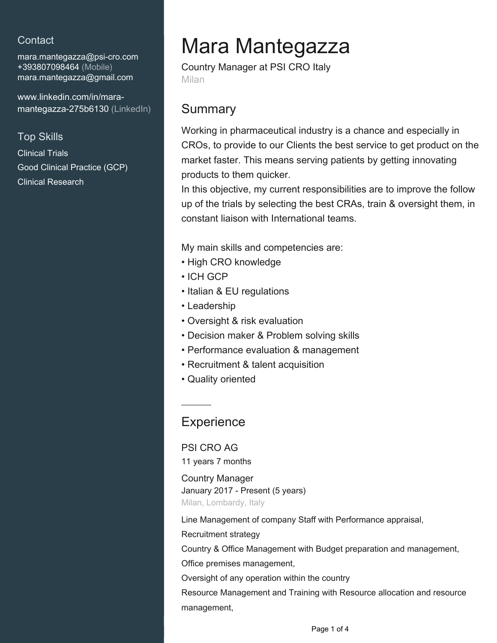## **Contact**

mara.mantegazza@psi-cro.com +393807098464 (Mobile) [mara.mantegazza@gmail.com](mailto:mara.mantegazza@gmail.com)

[www.linkedin.com/in/mara](https://www.linkedin.com/in/mara-mantegazza-275b6130?jobid=1234&lipi=urn%3Ali%3Apage%3Ad_jobs_easyapply_pdfgenresume%3BfOexv9DLTMS73luUtDw4RQ%3D%3D&licu=urn%3Ali%3Acontrol%3Ad_jobs_easyapply_pdfgenresume-v02_profile)[mantegazza-275b6130 \(LinkedIn\)](https://www.linkedin.com/in/mara-mantegazza-275b6130?jobid=1234&lipi=urn%3Ali%3Apage%3Ad_jobs_easyapply_pdfgenresume%3BfOexv9DLTMS73luUtDw4RQ%3D%3D&licu=urn%3Ali%3Acontrol%3Ad_jobs_easyapply_pdfgenresume-v02_profile)

### Top Skills

Clinical Trials Good Clinical Practice (GCP) Clinical Research

# Mara Mantegazza

Country Manager at PSI CRO Italy Milan

## **Summary**

Working in pharmaceutical industry is a chance and especially in CROs, to provide to our Clients the best service to get product on the market faster. This means serving patients by getting innovating products to them quicker.

In this objective, my current responsibilities are to improve the follow up of the trials by selecting the best CRAs, train & oversight them, in constant liaison with International teams.

My main skills and competencies are:

- High CRO knowledge
- ICH GCP
- Italian & EU regulations
- Leadership
- Oversight & risk evaluation
- Decision maker & Problem solving skills
- Performance evaluation & management
- Recruitment & talent acquisition
- Quality oriented

# **Experience**

PSI CRO AG

11 years 7 months

Country Manager January 2017 - Present (5 years) Milan, Lombardy, Italy

Line Management of company Staff with Performance appraisal,

Recruitment strategy

Country & Office Management with Budget preparation and management,

Office premises management,

Oversight of any operation within the country

Resource Management and Training with Resource allocation and resource management,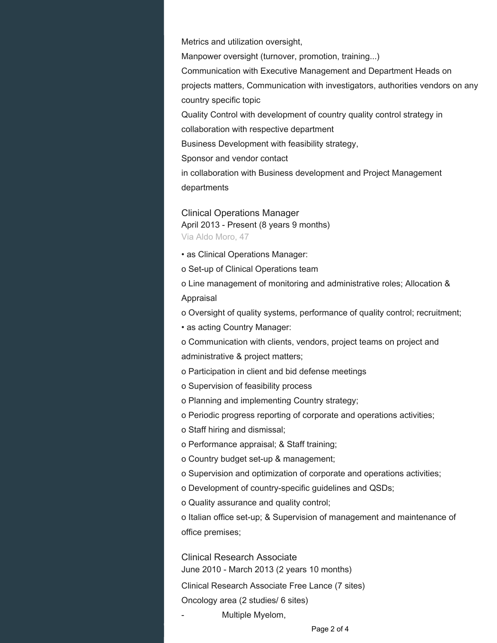Metrics and utilization oversight,

Manpower oversight (turnover, promotion, training...)

Communication with Executive Management and Department Heads on projects matters, Communication with investigators, authorities vendors on any country specific topic

Quality Control with development of country quality control strategy in

collaboration with respective department

Business Development with feasibility strategy,

Sponsor and vendor contact

in collaboration with Business development and Project Management departments

Clinical Operations Manager April 2013 - Present (8 years 9 months) Via Aldo Moro, 47

• as Clinical Operations Manager:

o Set-up of Clinical Operations team

o Line management of monitoring and administrative roles; Allocation & Appraisal

o Oversight of quality systems, performance of quality control; recruitment;

• as acting Country Manager:

o Communication with clients, vendors, project teams on project and administrative & project matters;

- o Participation in client and bid defense meetings
- o Supervision of feasibility process
- o Planning and implementing Country strategy;

o Periodic progress reporting of corporate and operations activities;

o Staff hiring and dismissal;

o Performance appraisal; & Staff training;

o Country budget set-up & management;

o Supervision and optimization of corporate and operations activities;

o Development of country-specific guidelines and QSDs;

o Quality assurance and quality control;

o Italian office set-up; & Supervision of management and maintenance of office premises;

Clinical Research Associate June 2010 - March 2013 (2 years 10 months)

Clinical Research Associate Free Lance (7 sites) Oncology area (2 studies/ 6 sites)

Multiple Myelom,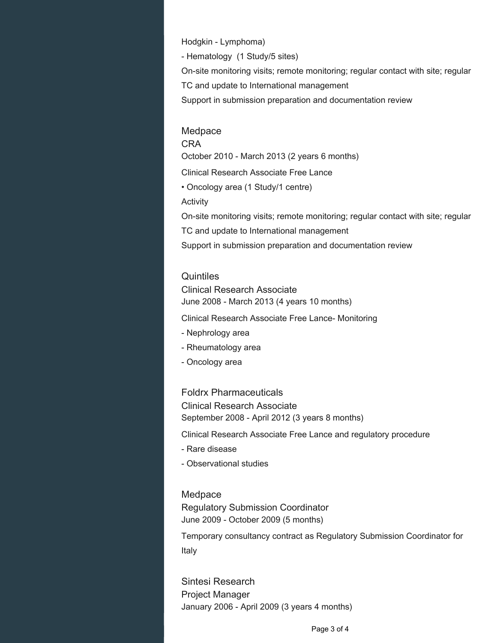Hodgkin - Lymphoma) - Hematology (1 Study/5 sites) On-site monitoring visits; remote monitoring; regular contact with site; regular TC and update to International management Support in submission preparation and documentation review

#### Medpace

CRA October 2010 - March 2013 (2 years 6 months) Clinical Research Associate Free Lance • Oncology area (1 Study/1 centre) Activity On-site monitoring visits; remote monitoring; regular contact with site; regular TC and update to International management Support in submission preparation and documentation review

#### **Quintiles**

Clinical Research Associate June 2008 - March 2013 (4 years 10 months)

Clinical Research Associate Free Lance- Monitoring

- Nephrology area
- Rheumatology area
- Oncology area

#### Foldrx Pharmaceuticals

Clinical Research Associate September 2008 - April 2012 (3 years 8 months)

Clinical Research Associate Free Lance and regulatory procedure

- Rare disease
- Observational studies

#### Medpace

Regulatory Submission Coordinator June 2009 - October 2009 (5 months)

Temporary consultancy contract as Regulatory Submission Coordinator for Italy

Sintesi Research Project Manager January 2006 - April 2009 (3 years 4 months)